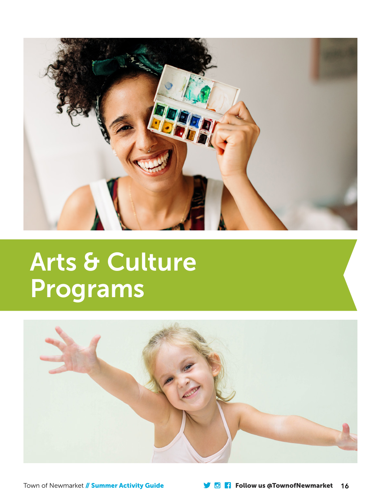

# Arts & Culture Programs



Town of Newmarket // Summer Activity Guide Follow us @TownofNewmarket 16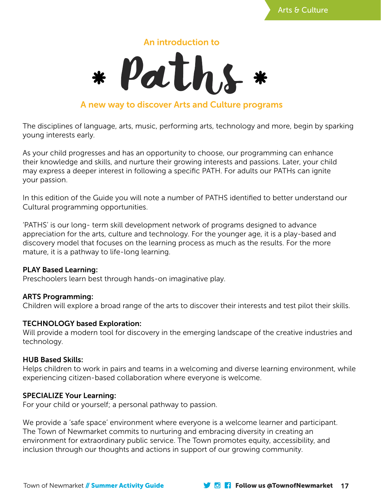

# An introduction to



# A new way to discover Arts and Culture programs

The disciplines of language, arts, music, performing arts, technology and more, begin by sparking young interests early.

As your child progresses and has an opportunity to choose, our programming can enhance their knowledge and skills, and nurture their growing interests and passions. Later, your child may express a deeper interest in following a specific PATH. For adults our PATHs can ignite your passion.

In this edition of the Guide you will note a number of PATHS identified to better understand our Cultural programming opportunities.

'PATHS' is our long- term skill development network of programs designed to advance appreciation for the arts, culture and technology. For the younger age, it is a play-based and discovery model that focuses on the learning process as much as the results. For the more mature, it is a pathway to life-long learning.

#### PLAY Based Learning:

Preschoolers learn best through hands-on imaginative play.

### ARTS Programming:

Children will explore a broad range of the arts to discover their interests and test pilot their skills.

### TECHNOLOGY based Exploration:

Will provide a modern tool for discovery in the emerging landscape of the creative industries and technology.

#### HUB Based Skills:

Helps children to work in pairs and teams in a welcoming and diverse learning environment, while experiencing citizen-based collaboration where everyone is welcome.

#### SPECIALIZE Your Learning:

For your child or yourself; a personal pathway to passion.

We provide a 'safe space' environment where everyone is a welcome learner and participant. The Town of Newmarket commits to nurturing and embracing diversity in creating an environment for extraordinary public service. The Town promotes equity, accessibility, and inclusion through our thoughts and actions in support of our growing community.